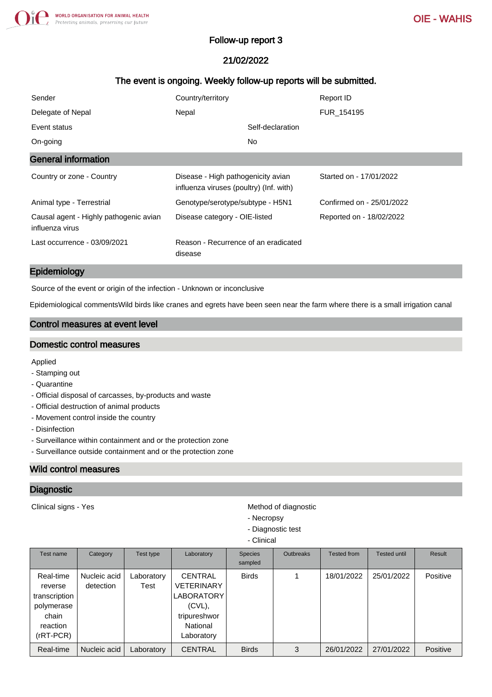# Follow-up report 3

# 21/02/2022

# The event is ongoing. Weekly follow-up reports will be submitted.

| Sender                                                    | Country/territory                                                             | Report ID                 |
|-----------------------------------------------------------|-------------------------------------------------------------------------------|---------------------------|
| Delegate of Nepal                                         | Nepal                                                                         | FUR 154195                |
| Event status                                              | Self-declaration                                                              |                           |
| On-going                                                  | No.                                                                           |                           |
| <b>General information</b>                                |                                                                               |                           |
| Country or zone - Country                                 | Disease - High pathogenicity avian<br>influenza viruses (poultry) (Inf. with) | Started on - 17/01/2022   |
| Animal type - Terrestrial                                 | Genotype/serotype/subtype - H5N1                                              | Confirmed on - 25/01/2022 |
| Causal agent - Highly pathogenic avian<br>influenza virus | Disease category - OIE-listed                                                 | Reported on - 18/02/2022  |
| Last occurrence - 03/09/2021                              | Reason - Recurrence of an eradicated<br>disease                               |                           |

#### Epidemiology

Source of the event or origin of the infection - Unknown or inconclusive

Epidemiological commentsWild birds like cranes and egrets have been seen near the farm where there is a small irrigation canal

# Control measures at event level

### Domestic control measures

Applied

- Stamping out
- Quarantine
- Official disposal of carcasses, by-products and waste
- Official destruction of animal products
- Movement control inside the country
- Disinfection
- Surveillance within containment and or the protection zone
- Surveillance outside containment and or the protection zone

# Wild control measures

### **Diagnostic**

Clinical signs - Yes **Method of diagnostic** Method of diagnostic

- Necropsy
- Diagnostic test
- Clinical

| Test name                                                                               | Category                  | Test type          | Laboratory                                                                                                      | <b>Species</b><br>sampled | <b>Outbreaks</b> | <b>Tested from</b> | <b>Tested until</b> | Result   |
|-----------------------------------------------------------------------------------------|---------------------------|--------------------|-----------------------------------------------------------------------------------------------------------------|---------------------------|------------------|--------------------|---------------------|----------|
| Real-time<br>reverse<br>transcription<br>polymerase<br>chain<br>reaction<br>$(rRT-PCR)$ | Nucleic acid<br>detection | Laboratory<br>Test | <b>CENTRAL</b><br><b>VETERINARY</b><br><b>LABORATORY</b><br>$(CVL)$ ,<br>tripureshwor<br>National<br>∟aboratory | <b>Birds</b>              |                  | 18/01/2022         | 25/01/2022          | Positive |
| Real-time                                                                               | Nucleic acid              | Laboratory         | <b>CENTRAL</b>                                                                                                  | <b>Birds</b>              | 3                | 26/01/2022         | 27/01/2022          | Positive |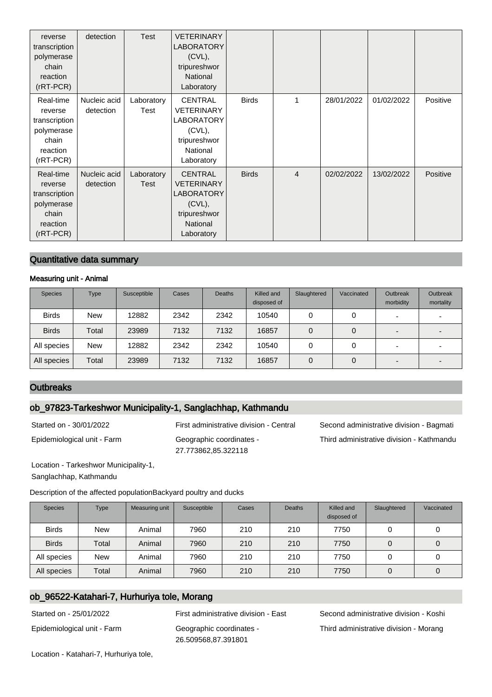| reverse<br>transcription<br>polymerase<br>chain<br>reaction<br>(rRT-PCR)              | detection                 | Test               | <b>VETERINARY</b><br><b>LABORATORY</b><br>$(CVL)$ ,<br>tripureshwor<br><b>National</b><br>Laboratory            |              |                |            |            |          |
|---------------------------------------------------------------------------------------|---------------------------|--------------------|-----------------------------------------------------------------------------------------------------------------|--------------|----------------|------------|------------|----------|
| Real-time<br>reverse<br>transcription<br>polymerase<br>chain<br>reaction<br>(rRT-PCR) | Nucleic acid<br>detection | Laboratory<br>Test | <b>CENTRAL</b><br><b>VETERINARY</b><br><b>LABORATORY</b><br>(CVL),<br>tripureshwor<br>National<br>Laboratory    | <b>Birds</b> | 1              | 28/01/2022 | 01/02/2022 | Positive |
| Real-time<br>reverse<br>transcription<br>polymerase<br>chain<br>reaction<br>(rRT-PCR) | Nucleic acid<br>detection | Laboratory<br>Test | <b>CENTRAL</b><br><b>VETERINARY</b><br><b>LABORATORY</b><br>$(CVL)$ ,<br>tripureshwor<br>National<br>Laboratory | <b>Birds</b> | $\overline{4}$ | 02/02/2022 | 13/02/2022 | Positive |

## Quantitative data summary

#### Measuring unit - Animal

| <b>Species</b> | Type       | Susceptible | Cases | <b>Deaths</b> | Killed and<br>disposed of | Slaughtered | Vaccinated | <b>Outbreak</b><br>morbidity | Outbreak<br>mortality |
|----------------|------------|-------------|-------|---------------|---------------------------|-------------|------------|------------------------------|-----------------------|
| <b>Birds</b>   | <b>New</b> | 12882       | 2342  | 2342          | 10540                     |             | 0          | -                            |                       |
| <b>Birds</b>   | Total      | 23989       | 7132  | 7132          | 16857                     | 0           | 0          | -                            |                       |
| All species    | <b>New</b> | 12882       | 2342  | 2342          | 10540                     |             | 0          | ۰.                           |                       |
| All species    | Total      | 23989       | 7132  | 7132          | 16857                     | 0           | 0          |                              |                       |

### **Outbreaks**

## ob\_97823-Tarkeshwor Municipality-1, Sanglachhap, Kathmandu

Epidemiological unit - Farm Geographic coordinates -

27.773862,85.322118

Started on - 30/01/2022 First administrative division - Central Second administrative division - Bagmati Third administrative division - Kathmandu

Location - Tarkeshwor Municipality-1, Sanglachhap, Kathmandu

Description of the affected populationBackyard poultry and ducks

| <b>Species</b> | <b>Type</b> | Measuring unit | Susceptible | Cases | <b>Deaths</b> | Killed and<br>disposed of | Slaughtered | Vaccinated |
|----------------|-------------|----------------|-------------|-------|---------------|---------------------------|-------------|------------|
| <b>Birds</b>   | <b>New</b>  | Animal         | 7960        | 210   | 210           | 7750                      |             |            |
| <b>Birds</b>   | Total       | Animal         | 7960        | 210   | 210           | 7750                      |             | 0          |
| All species    | <b>New</b>  | Animal         | 7960        | 210   | 210           | 7750                      |             | 0          |
| All species    | Total       | Animal         | 7960        | 210   | 210           | 7750                      |             | 0          |

# ob\_96522-Katahari-7, Hurhuriya tole, Morang

Epidemiological unit - Farm Geographic coordinates - 26.509568,87.391801

Started on - 25/01/2022 First administrative division - East Second administrative division - Koshi Third administrative division - Morang

Location - Katahari-7, Hurhuriya tole,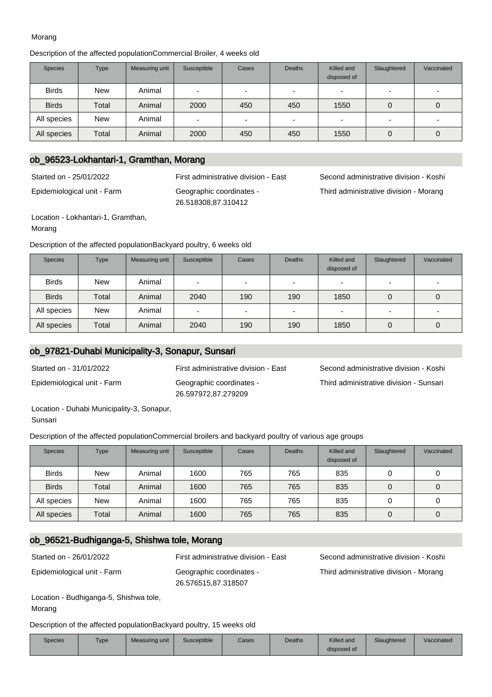#### Morang

#### Description of the affected populationCommercial Broiler, 4 weeks old

| <b>Species</b> | <b>Type</b> | Measuring unit | Susceptible | Cases                    | <b>Deaths</b>            | Killed and<br>disposed of | Slaughtered | Vaccinated               |
|----------------|-------------|----------------|-------------|--------------------------|--------------------------|---------------------------|-------------|--------------------------|
| <b>Birds</b>   | <b>New</b>  | Animal         | -           | $\overline{\phantom{0}}$ |                          |                           |             |                          |
| <b>Birds</b>   | Total       | Animal         | 2000        | 450                      | 450                      | 1550                      | 0           | O                        |
| All species    | <b>New</b>  | Animal         | -           | $\overline{\phantom{0}}$ | $\overline{\phantom{a}}$ |                           |             | $\overline{\phantom{0}}$ |
| All species    | Total       | Animal         | 2000        | 450                      | 450                      | 1550                      | 0           | U                        |

# ob\_96523-Lokhantari-1, Gramthan, Morang

Started on - 25/01/2022 First administrative division - East Second administrative division - Koshi

Epidemiological unit - Farm Geographic coordinates -

26.518308,87.310412 Location - Lokhantari-1, Gramthan,

Morang

Description of the affected populationBackyard poultry, 6 weeks old

| <b>Species</b> | <b>Type</b> | Measuring unit | Susceptible | Cases                    | <b>Deaths</b>            | Killed and<br>disposed of | Slaughtered              | Vaccinated |
|----------------|-------------|----------------|-------------|--------------------------|--------------------------|---------------------------|--------------------------|------------|
| <b>Birds</b>   | <b>New</b>  | Animal         | $\sim$      | $\overline{\phantom{0}}$ | $\overline{\phantom{0}}$ | -                         | $\overline{\phantom{0}}$ |            |
| <b>Birds</b>   | Total       | Animal         | 2040        | 190                      | 190                      | 1850                      | 0                        | O          |
| All species    | <b>New</b>  | Animal         | $\sim$      | $\overline{\phantom{0}}$ | $\overline{\phantom{0}}$ | -                         | $\overline{\phantom{0}}$ | -          |
| All species    | Total       | Animal         | 2040        | 190                      | 190                      | 1850                      | 0                        | 0          |

#### ob\_97821-Duhabi Municipality-3, Sonapur, Sunsari

Epidemiological unit - Farm Geographic coordinates - 26.597972,87.279209

Started on - 31/01/2022 First administrative division - East Second administrative division - Koshi Third administrative division - Sunsari

Third administrative division - Morang

Location - Duhabi Municipality-3, Sonapur,

Sunsari

Description of the affected populationCommercial broilers and backyard poultry of various age groups

| <b>Species</b> | <b>Type</b> | Measuring unit | Susceptible | Cases | <b>Deaths</b> | Killed and<br>disposed of | Slaughtered | Vaccinated |
|----------------|-------------|----------------|-------------|-------|---------------|---------------------------|-------------|------------|
| <b>Birds</b>   | <b>New</b>  | Animal         | 1600        | 765   | 765           | 835                       | 0           | 0          |
| <b>Birds</b>   | Total       | Animal         | 1600        | 765   | 765           | 835                       | $\mathbf 0$ | 0          |
| All species    | <b>New</b>  | Animal         | 1600        | 765   | 765           | 835                       |             |            |
| All species    | Total       | Animal         | 1600        | 765   | 765           | 835                       | $\mathbf 0$ | 0          |

# ob\_96521-Budhiganga-5, Shishwa tole, Morang

Epidemiological unit - Farm Geographic coordinates -

26.576515,87.318507

Started on - 26/01/2022 First administrative division - East Second administrative division - Koshi Third administrative division - Morang

Location - Budhiganga-5, Shishwa tole, Morang

Description of the affected populationBackyard poultry, 15 weeks old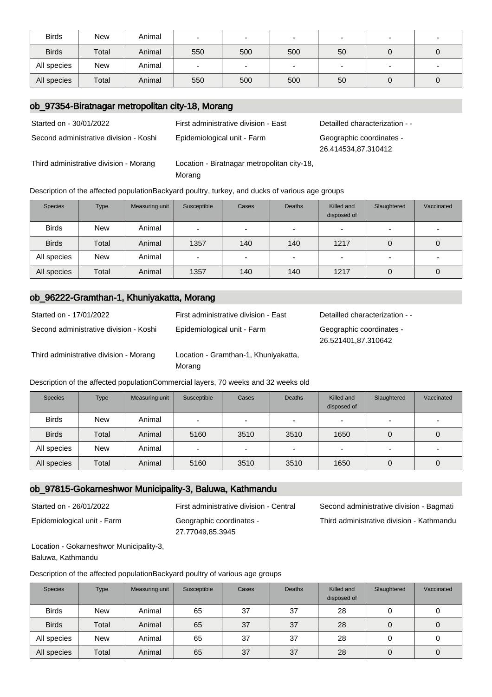| <b>Birds</b> | <b>New</b> | Animal |     | -                        |     | -  | $\overline{\phantom{0}}$ |  |
|--------------|------------|--------|-----|--------------------------|-----|----|--------------------------|--|
| <b>Birds</b> | Total      | Animal | 550 | 500                      | 500 | 50 |                          |  |
| All species  | New        | Animal | -   | $\overline{\phantom{0}}$ |     |    | $\overline{\phantom{0}}$ |  |
| All species  | Total      | Animal | 550 | 500                      | 500 | 50 |                          |  |

### ob\_97354-Biratnagar metropolitan city-18, Morang

Second administrative division - Koshi Epidemiological unit - Farm Geographic coordinates -

Third administrative division - Morang Location - Biratnagar metropolitan city-18,

Started on - 30/01/2022 First administrative division - East Detailled characterization - -

26.414534,87.310412

Morang Description of the affected populationBackyard poultry, turkey, and ducks of various age groups

| <b>Species</b> | <b>Type</b> | Measuring unit | Susceptible | Cases                    | <b>Deaths</b>            | Killed and<br>disposed of | Slaughtered              | Vaccinated               |
|----------------|-------------|----------------|-------------|--------------------------|--------------------------|---------------------------|--------------------------|--------------------------|
| <b>Birds</b>   | <b>New</b>  | Animal         | -           |                          |                          |                           |                          |                          |
| <b>Birds</b>   | Total       | Animal         | 1357        | 140                      | 140                      | 1217                      | 0                        |                          |
| All species    | <b>New</b>  | Animal         | -           | $\overline{\phantom{0}}$ | $\overline{\phantom{0}}$ | -                         | $\overline{\phantom{0}}$ | $\overline{\phantom{0}}$ |
| All species    | Total       | Animal         | 1357        | 140                      | 140                      | 1217                      | 0                        |                          |

## ob\_96222-Gramthan-1, Khuniyakatta, Morang

| Started on - 17/01/2022                | First administrative division - East                                                | Detailled characterization - -                  |
|----------------------------------------|-------------------------------------------------------------------------------------|-------------------------------------------------|
| Second administrative division - Koshi | Epidemiological unit - Farm                                                         | Geographic coordinates -<br>26.521401,87.310642 |
| Third administrative division - Morang | Location - Gramthan-1, Khuniyakatta,<br>Morang                                      |                                                 |
|                                        | Description of the affected population Commercial layers, 70 weeks and 32 weeks old |                                                 |

| <b>Species</b> | <b>Type</b> | Measuring unit | Susceptible | Cases                    | <b>Deaths</b>            | Killed and<br>disposed of | Slaughtered              | Vaccinated |
|----------------|-------------|----------------|-------------|--------------------------|--------------------------|---------------------------|--------------------------|------------|
| <b>Birds</b>   | <b>New</b>  | Animal         | -           | $\overline{\phantom{0}}$ | $\overline{\phantom{a}}$ |                           | $\overline{\phantom{0}}$ |            |
| <b>Birds</b>   | Total       | Animal         | 5160        | 3510                     | 3510                     | 1650                      | 0                        | 0          |
| All species    | <b>New</b>  | Animal         | -           | $\sim$                   | $\overline{\phantom{a}}$ |                           | $\overline{\phantom{0}}$ |            |
| All species    | Total       | Animal         | 5160        | 3510                     | 3510                     | 1650                      |                          | O          |

## ob\_97815-Gokarneshwor Municipality-3, Baluwa, Kathmandu

Epidemiological unit - Farm Geographic coordinates - 27.77049,85.3945

Started on - 26/01/2022 First administrative division - Central Second administrative division - Bagmati Third administrative division - Kathmandu

Location - Gokarneshwor Municipality-3, Baluwa, Kathmandu

Description of the affected populationBackyard poultry of various age groups

| <b>Species</b> | <b>Type</b> | Measuring unit | Susceptible | Cases | <b>Deaths</b> | Killed and<br>disposed of | Slaughtered | Vaccinated |
|----------------|-------------|----------------|-------------|-------|---------------|---------------------------|-------------|------------|
| <b>Birds</b>   | <b>New</b>  | Animal         | 65          | 37    | 37            | 28                        | 0           | U          |
| <b>Birds</b>   | Total       | Animal         | 65          | 37    | 37            | 28                        | 0           | 0          |
| All species    | <b>New</b>  | Animal         | 65          | 37    | 37            | 28                        | 0           |            |
| All species    | Total       | Animal         | 65          | 37    | 37            | 28                        | 0           | 0          |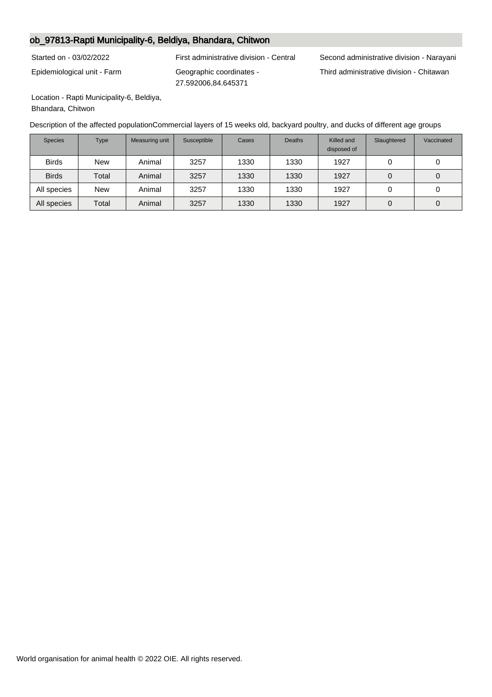# ob\_97813-Rapti Municipality-6, Beldiya, Bhandara, Chitwon

Epidemiological unit - Farm Geographic coordinates -

27.592006,84.645371

Started on - 03/02/2022 First administrative division - Central Second administrative division - Narayani Third administrative division - Chitawan

Location - Rapti Municipality-6, Beldiya, Bhandara, Chitwon

Description of the affected populationCommercial layers of 15 weeks old, backyard poultry, and ducks of different age groups

| <b>Species</b> | <b>Type</b> | Measuring unit | Susceptible | Cases | <b>Deaths</b> | Killed and<br>disposed of | Slaughtered | Vaccinated |
|----------------|-------------|----------------|-------------|-------|---------------|---------------------------|-------------|------------|
| <b>Birds</b>   | <b>New</b>  | Animal         | 3257        | 1330  | 1330          | 1927                      |             |            |
| <b>Birds</b>   | Total       | Animal         | 3257        | 1330  | 1330          | 1927                      | 0           |            |
| All species    | <b>New</b>  | Animal         | 3257        | 1330  | 1330          | 1927                      |             |            |
| All species    | Total       | Animal         | 3257        | 1330  | 1330          | 1927                      | 0           |            |